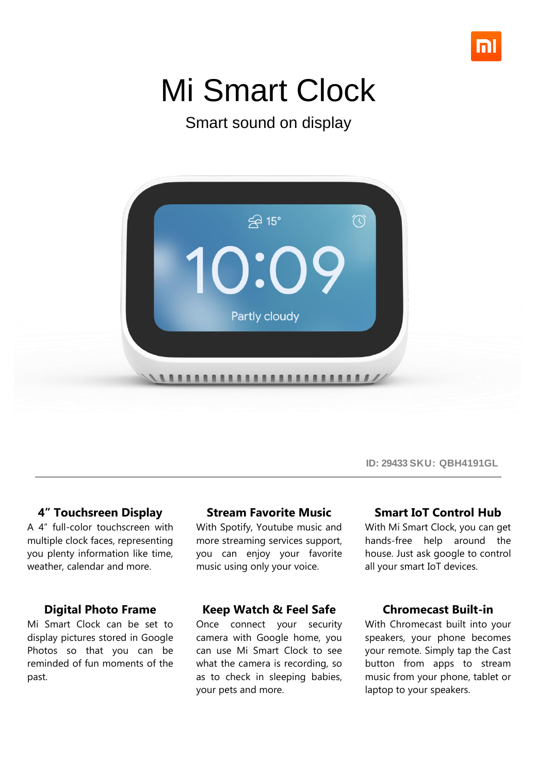

# Mi Smart Clock

Smart sound on display



### **4" Touchsreen Display**

A 4" full-color touchscreen with multiple clock faces, representing you plenty information like time, weather, calendar and more.

#### **Digital Photo Frame**

Mi Smart Clock can be set to display pictures stored in Google Photos so that you can be reminded of fun moments of the past.

#### **Stream Favorite Music**

With Spotify, Youtube music and more streaming services support, you can enjoy your favorite music using only your voice.

#### **Keep Watch & Feel Safe**

Once connect your security camera with Google home, you can use Mi Smart Clock to see what the camera is recording, so as to check in sleeping babies, your pets and more.

#### **Smart IoT Control Hub**

**ID: 29433 SKU: QBH4191GL**

With Mi Smart Clock, you can get hands-free help around the house. Just ask google to control all your smart IoT devices.

#### **Chromecast Built-in**

With Chromecast built into your speakers, your phone becomes your remote. Simply tap the Cast button from apps to stream music from your phone, tablet or laptop to your speakers.